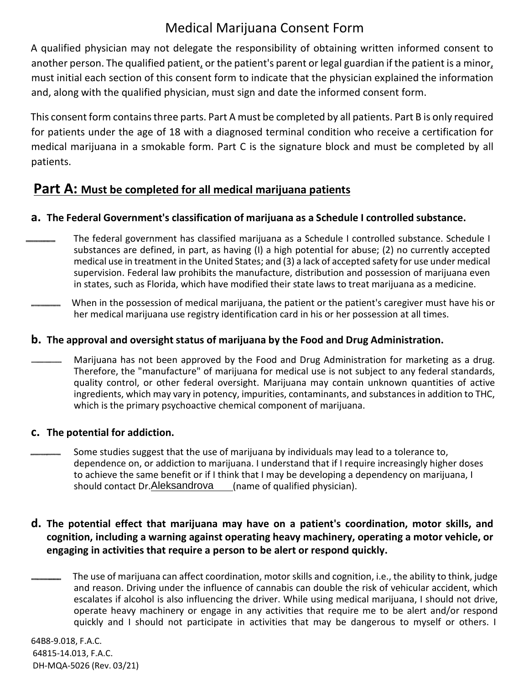# Medical Marijuana Consent Form

A qualified physician may not delegate the responsibility of obtaining written informed consent to another person. The qualified patient, or the patient's parent or legal guardian if the patient is a minor, must initial each section of this consent form to indicate that the physician explained the information and, along with the qualified physician, must sign and date the informed consent form.

This consent form containsthree parts. Part A must be completed by all patients. Part B is only required for patients under the age of 18 with a diagnosed terminal condition who receive a certification for medical marijuana in a smokable form. Part C is the signature block and must be completed by all patients.

## **Part A: Must be completed for all medical marijuana patients**

## **a. The Federal Government's classification of marijuana as a Schedule I controlled substance.**

- The federal government has classified marijuana as a Schedule I controlled substance. Schedule I substances are defined, in part, as having (I) a high potential for abuse; (2) no currently accepted medical use in treatment in the United States; and (3) a lack of accepted safety for use under medical supervision. Federal law prohibits the manufacture, distribution and possession of marijuana even in states, such as Florida, which have modified their state laws to treat marijuana as a medicine.
- When in the possession of medical marijuana, the patient or the patient's caregiver must have his or her medical marijuana use registry identification card in his or her possession at all times.

#### **b. The approval and oversight status of marijuana by the Food and Drug Administration.**

Marijuana has not been approved by the Food and Drug Administration for marketing as a drug. Therefore, the "manufacture" of marijuana for medical use is not subject to any federal standards, quality control, or other federal oversight. Marijuana may contain unknown quantities of active ingredients, which may vary in potency, impurities, contaminants, and substances in addition to THC, which is the primary psychoactive chemical component of marijuana.

#### **c. The potential for addiction.**

Some studies suggest that the use of marijuana by individuals may lead to a tolerance to, dependence on, or addiction to marijuana. I understand that if I require increasingly higher doses to achieve the same benefit or if I think that I may be developing a dependency on marijuana, I should contact Dr. Aleksandrova (name of qualified physician).

## **d. The potential effect that marijuana may have on a patient's coordination, motor skills, and cognition, including a warning against operating heavy machinery, operating a motor vehicle, or engaging in activities that require a person to be alert or respond quickly.**

The use of marijuana can affect coordination, motor skills and cognition, i.e., the ability to think, judge and reason. Driving under the influence of cannabis can double the risk of vehicular accident, which escalates if alcohol is also influencing the driver. While using medical marijuana, I should not drive, operate heavy machinery or engage in any activities that require me to be alert and/or respond quickly and I should not participate in activities that may be dangerous to myself or others. I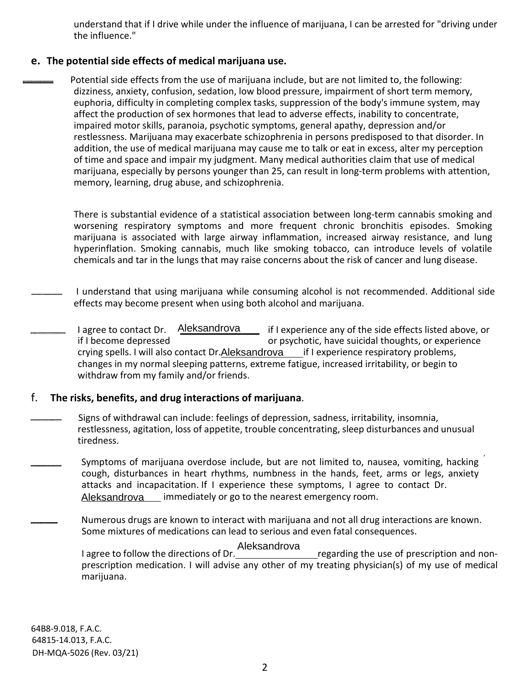understand that if I drive while under the influence of marijuana, I can be arrested for "driving under the influence."

#### **e. The potential side effects of medical marijuana use.**

Potential side effects from the use of marijuana include, but are not limited to, the following: dizziness, anxiety, confusion, sedation, low blood pressure, impairment of short term memory, euphoria, difficulty in completing complex tasks, suppression of the body's immune system, may affect the production of sex hormones that lead to adverse effects, inability to concentrate, impaired motor skills, paranoia, psychotic symptoms, general apathy, depression and/or restlessness. Marijuana may exacerbate schizophrenia in persons predisposed to that disorder. In addition, the use of medical marijuana may cause me to talk or eat in excess, alter my perception of time and space and impair my judgment. Many medical authorities claim that use of medical marijuana, especially by persons younger than 25, can result in long-term problems with attention, memory, learning, drug abuse, and schizophrenia.

There is substantial evidence of a statistical association between long-term cannabis smoking and worsening respiratory symptoms and more frequent chronic bronchitis episodes. Smoking marijuana is associated with large airway inflammation, increased airway resistance, and lung hyperinflation. Smoking cannabis, much like smoking tobacco, can introduce levels of volatile chemicals and tar in the lungs that may raise concerns about the risk of cancer and lung disease.

I understand that using marijuana while consuming alcohol is not recommended. Additional side effects may become present when using both alcohol and marijuana.

if I experience any of the side effects listed above, or if I become depressed or psychotic, have suicidal thoughts, or experience crying spells. I will also contact Dr.Aleksandrova Lif I experience respiratory problems, changes in my normal sleeping patterns, extreme fatigue, increased irritability, or begin to withdraw from my family and/or friends. I agree to contact Dr. Aleksandrova

#### f. **The risks, benefits, and drug interactions of marijuana**.

Signs of withdrawal can include: feelings of depression, sadness, irritability, insomnia, restlessness, agitation, loss of appetite, trouble concentrating, sleep disturbances and unusual tiredness.

Symptoms of marijuana overdose include, but are not limited to, nausea, vomiting, hacking cough, disturbances in heart rhythms, numbness in the hands, feet, arms or legs, anxiety attacks and incapacitation. If I experience these symptoms, I agree to contact Dr. Aleksandrova immediately or go to the nearest emergency room.

Numerous drugs are known to interact with marijuana and not all drug interactions are known. Some mixtures of medications can lead to serious and even fatal consequences.

Aleksandrova

I agree to follow the directions of Dr. **The Collocation Contract Contract** regarding the use of prescription and nonprescription medication. I will advise any other of my treating physician(s) of my use of medical marijuana.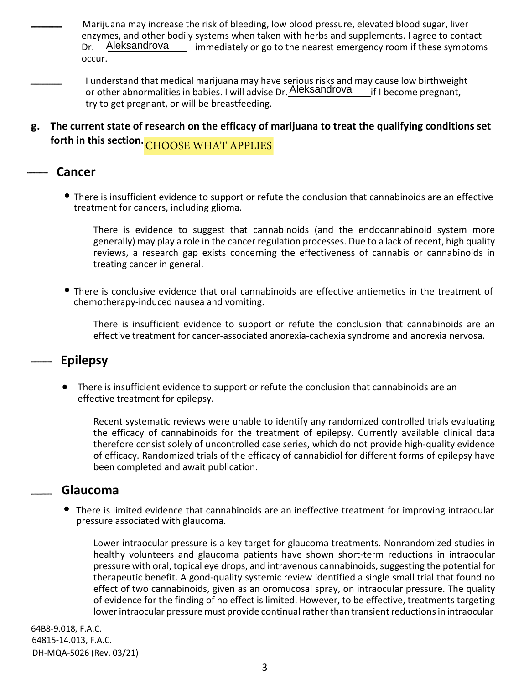Marijuana may increase the risk of bleeding, low blood pressure, elevated blood sugar, liver enzymes, and other bodily systems when taken with herbs and supplements. I agree to contact Dr. Aleksandrova immediately or go to the nearest emergency room if these symptoms occur.

I understand that medical marijuana may have serious risks and may cause low birthweight or other abnormalities in babies. I will advise Dr. Aleksandrova if I become pregnant, try to get pregnant, or will be breastfeeding.

**g. The current state of research on the efficacy of marijuana to treat the qualifying conditions set** forth in this section. <mark>CHOOSE WHAT APPLIES</mark>

## **Cancer**

• There is insufficient evidence to support or refute the conclusion that cannabinoids are an effective treatment for cancers, including glioma.

There is evidence to suggest that cannabinoids (and the endocannabinoid system more generally) may play a role in the cancer regulation processes. Due to a lack of recent, high quality reviews, a research gap exists concerning the effectiveness of cannabis or cannabinoids in treating cancer in general.

• There is conclusive evidence that oral cannabinoids are effective antiemetics in the treatment of chemotherapy-induced nausea and vomiting.

There is insufficient evidence to support or refute the conclusion that cannabinoids are an effective treatment for cancer-associated anorexia-cachexia syndrome and anorexia nervosa.

## **Epilepsy**

• There is insufficient evidence to support or refute the conclusion that cannabinoids are an effective treatment for epilepsy.

Recent systematic reviews were unable to identify any randomized controlled trials evaluating the efficacy of cannabinoids for the treatment of epilepsy. Currently available clinical data therefore consist solely of uncontrolled case series, which do not provide high-quality evidence of efficacy. Randomized trials of the efficacy of cannabidiol for different forms of epilepsy have been completed and await publication.

#### **Glaucoma**

• There is limited evidence that cannabinoids are an ineffective treatment for improving intraocular pressure associated with glaucoma.

Lower intraocular pressure is a key target for glaucoma treatments. Nonrandomized studies in healthy volunteers and glaucoma patients have shown short-term reductions in intraocular pressure with oral, topical eye drops, and intravenous cannabinoids, suggesting the potential for therapeutic benefit. A good-quality systemic review identified a single small trial that found no effect of two cannabinoids, given as an oromucosal spray, on intraocular pressure. The quality of evidence for the finding of no effect is limited. However, to be effective, treatments targeting lower intraocular pressure must provide continual rather than transient reductions in intraocular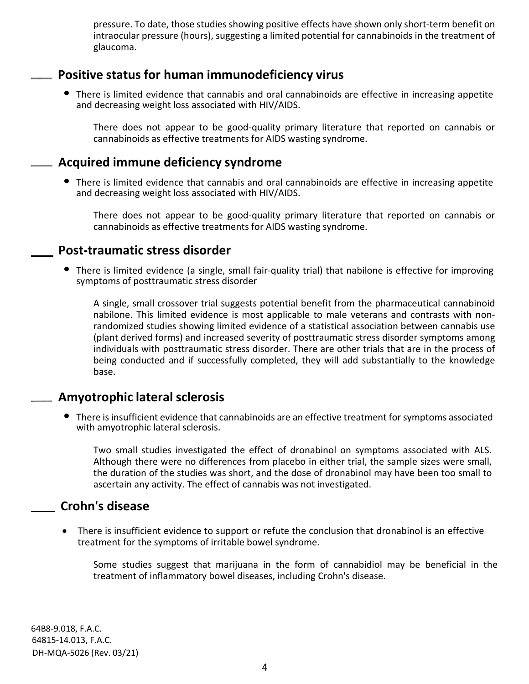pressure. To date, those studies showing positive effects have shown only short-term benefit on intraocular pressure (hours), suggesting a limited potential for cannabinoids in the treatment of glaucoma.

## **Positive status for human immunodeficiency virus**

• There is limited evidence that cannabis and oral cannabinoids are effective in increasing appetite and decreasing weight loss associated with HIV/AIDS.

There does not appear to be good-quality primary literature that reported on cannabis or cannabinoids as effective treatments for AIDS wasting syndrome.

## **Acquired immune deficiency syndrome**

• There is limited evidence that cannabis and oral cannabinoids are effective in increasing appetite and decreasing weight loss associated with HIV/AIDS.

There does not appear to be good-quality primary literature that reported on cannabis or cannabinoids as effective treatments for AIDS wasting syndrome.

## **Post-traumatic stress disorder**

• There is limited evidence (a single, small fair-quality trial) that nabilone is effective for improving symptoms of posttraumatic stress disorder

A single, small crossover trial suggests potential benefit from the pharmaceutical cannabinoid nabilone. This limited evidence is most applicable to male veterans and contrasts with nonrandomized studies showing limited evidence of a statistical association between cannabis use (plant derived forms) and increased severity of posttraumatic stress disorder symptoms among individuals with posttraumatic stress disorder. There are other trials that are in the process of being conducted and if successfully completed, they will add substantially to the knowledge base.

## **Amyotrophic lateral sclerosis**

• There is insufficient evidence that cannabinoids are an effective treatment for symptoms associated with amyotrophic lateral sclerosis.

Two small studies investigated the effect of dronabinol on symptoms associated with ALS. Although there were no differences from placebo in either trial, the sample sizes were small, the duration of the studies was short, and the dose of dronabinol may have been too small to ascertain any activity. The effect of cannabis was not investigated.

## **Crohn's disease**

• There is insufficient evidence to support or refute the conclusion that dronabinol is an effective treatment for the symptoms of irritable bowel syndrome.

Some studies suggest that marijuana in the form of cannabidiol may be beneficial in the treatment of inflammatory bowel diseases, including Crohn's disease.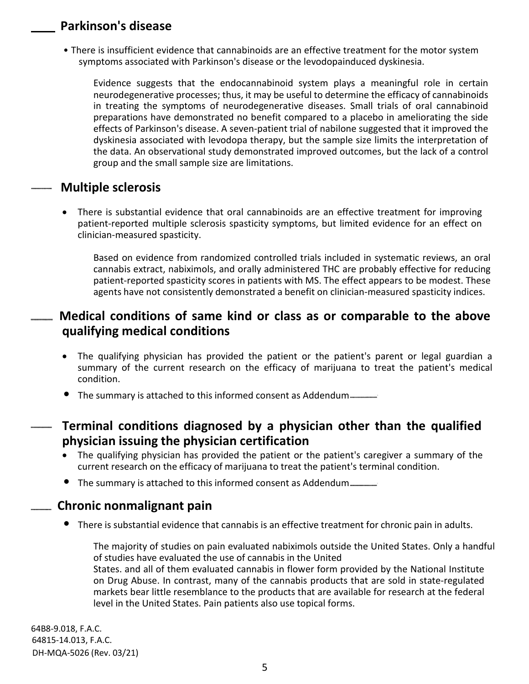## **Parkinson's disease**

• There is insufficient evidence that cannabinoids are an effective treatment for the motor system symptoms associated with Parkinson's disease or the levodopainduced dyskinesia.

Evidence suggests that the endocannabinoid system plays a meaningful role in certain neurodegenerative processes; thus, it may be useful to determine the efficacy of cannabinoids in treating the symptoms of neurodegenerative diseases. Small trials of oral cannabinoid preparations have demonstrated no benefit compared to a placebo in ameliorating the side effects of Parkinson's disease. A seven-patient trial of nabilone suggested that it improved the dyskinesia associated with levodopa therapy, but the sample size limits the interpretation of the data. An observational study demonstrated improved outcomes, but the lack of a control group and the small sample size are limitations.

## **Multiple sclerosis**

• There is substantial evidence that oral cannabinoids are an effective treatment for improving patient-reported multiple sclerosis spasticity symptoms, but limited evidence for an effect on clinician-measured spasticity.

Based on evidence from randomized controlled trials included in systematic reviews, an oral cannabis extract, nabiximols, and orally administered THC are probably effective for reducing patient-reported spasticity scores in patients with MS. The effect appears to be modest. These agents have not consistently demonstrated a benefit on clinician-measured spasticity indices.

## **Medical conditions of same kind or class as or comparable to the above qualifying medical conditions**

- The qualifying physician has provided the patient or the patient's parent or legal guardian a summary of the current research on the efficacy of marijuana to treat the patient's medical condition.
- The summary is attached to this informed consent as Addendum
- **Terminal conditions diagnosed by a physician other than the qualified physician issuing the physician certification**
	- The qualifying physician has provided the patient or the patient's caregiver a summary of the current research on the efficacy of marijuana to treat the patient's terminal condition.
	- The summary is attached to this informed consent as Addendum

## **Chronic nonmalignant pain**

• There is substantial evidence that cannabis is an effective treatment for chronic pain in adults.

The majority of studies on pain evaluated nabiximols outside the United States. Only a handful of studies have evaluated the use of cannabis in the United States. and all of them evaluated cannabis in flower form provided by the National Institute on Drug Abuse. In contrast, many of the cannabis products that are sold in state-regulated markets bear little resemblance to the products that are available for research at the federal level in the United States. Pain patients also use topical forms.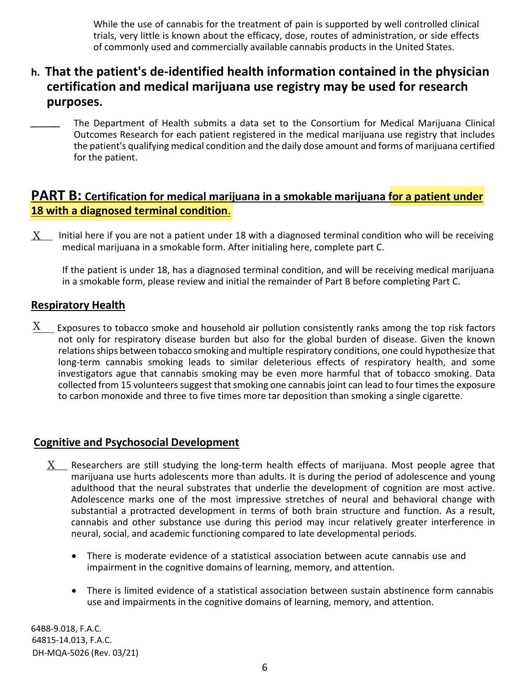While the use of cannabis for the treatment of pain is supported by well controlled clinical trials, very little is known about the efficacy, dose, routes of administration, or side effects of commonly used and commercially available cannabis products in the United States.

## **h. That the patient's de-identified health information contained in the physician certification and medical marijuana use registry may be used for research purposes.**

The Department of Health submits a data set to the Consortium for Medical Marijuana Clinical Outcomes Research for each patient registered in the medical marijuana use registry that includes the patient's qualifying medical condition and the daily dose amount and forms of marijuana certified for the patient.

## **PART B: Certification for medical marijuana in a smokable marijuana for a patient under 18 with a diagnosed terminal condition**.

 $\underline{X}$  Initial here if you are not a patient under 18 with a diagnosed terminal condition who will be receiving medical marijuana in a smokable form. After initialing here, complete part C.

If the patient is under 18, has a diagnosed terminal condition, and will be receiving medical marijuana in a smokable form, please review and initial the remainder of Part B before completing Part C.

#### **Respiratory Health**

Exposures to tobacco smoke and household air pollution consistently ranks among the top risk factors not only for respiratory disease burden but also for the global burden of disease. Given the known relations ships between tobacco smoking and multiple respiratory conditions, one could hypothesize that long-term cannabis smoking leads to similar deleterious effects of respiratory health, and some investigators ague that cannabis smoking may be even more harmful that of tobacco smoking. Data collected from 15 volunteers suggest that smoking one cannabis joint can lead to four times the exposure to carbon monoxide and three to five times more tar deposition than smoking a single cigarette.  $X$ 

#### **Cognitive and Psychosocial Development**

- $\underline{X}$  Researchers are still studying the long-term health effects of marijuana. Most people agree that marijuana use hurts adolescents more than adults. It is during the period of adolescence and young adulthood that the neural substrates that underlie the development of cognition are most active. Adolescence marks one of the most impressive stretches of neural and behavioral change with substantial a protracted development in terms of both brain structure and function. As a result, cannabis and other substance use during this period may incur relatively greater interference in neural, social, and academic functioning compared to late developmental periods.
	- There is moderate evidence of a statistical association between acute cannabis use and impairment in the cognitive domains of learning, memory, and attention.
	- There is limited evidence of a statistical association between sustain abstinence form cannabis use and impairments in the cognitive domains of learning, memory, and attention.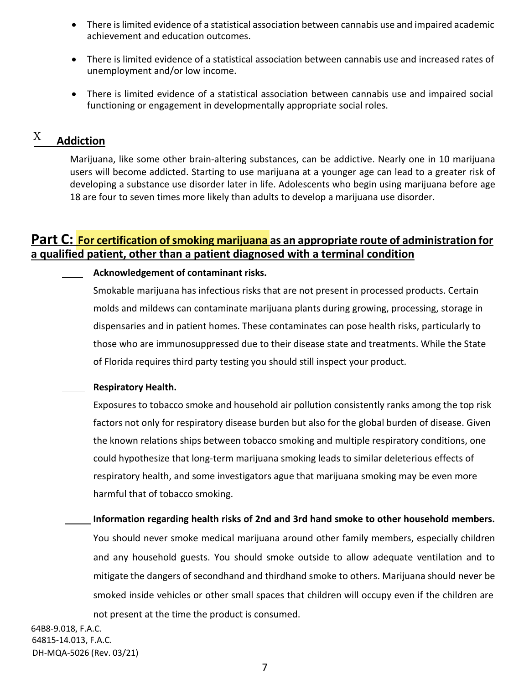- There islimited evidence of a statistical association between cannabis use and impaired academic achievement and education outcomes.
- There is limited evidence of a statistical association between cannabis use and increased rates of unemployment and/or low income.
- There is limited evidence of a statistical association between cannabis use and impaired social functioning or engagement in developmentally appropriate social roles.

#### **Addiction**  $\boldsymbol{\mathrm{X}}$

Marijuana, like some other brain-altering substances, can be addictive. Nearly one in 10 marijuana users will become addicted. Starting to use marijuana at a younger age can lead to a greater risk of developing a substance use disorder later in life. Adolescents who begin using marijuana before age 18 are four to seven times more likely than adults to develop a marijuana use disorder.

## **Part C:** For certification of smoking marijuana as an appropriate route of administration for **a qualified patient, other than a patient diagnosed with a terminal condition**

#### **Acknowledgement of contaminant risks.**

Smokable marijuana has infectious risks that are not present in processed products. Certain molds and mildews can contaminate marijuana plants during growing, processing, storage in dispensaries and in patient homes. These contaminates can pose health risks, particularly to those who are immunosuppressed due to their disease state and treatments. While the State of Florida requires third party testing you should still inspect your product.

#### **Respiratory Health.**

Exposures to tobacco smoke and household air pollution consistently ranks among the top risk factors not only for respiratory disease burden but also for the global burden of disease. Given the known relations ships between tobacco smoking and multiple respiratory conditions, one could hypothesize that long-term marijuana smoking leads to similar deleterious effects of respiratory health, and some investigators ague that marijuana smoking may be even more harmful that of tobacco smoking.

#### **Information regarding health risks of 2nd and 3rd hand smoke to other household members.**

You should never smoke medical marijuana around other family members, especially children and any household guests. You should smoke outside to allow adequate ventilation and to mitigate the dangers of secondhand and thirdhand smoke to others. Marijuana should never be smoked inside vehicles or other small spaces that children will occupy even if the children are not present at the time the product is consumed.